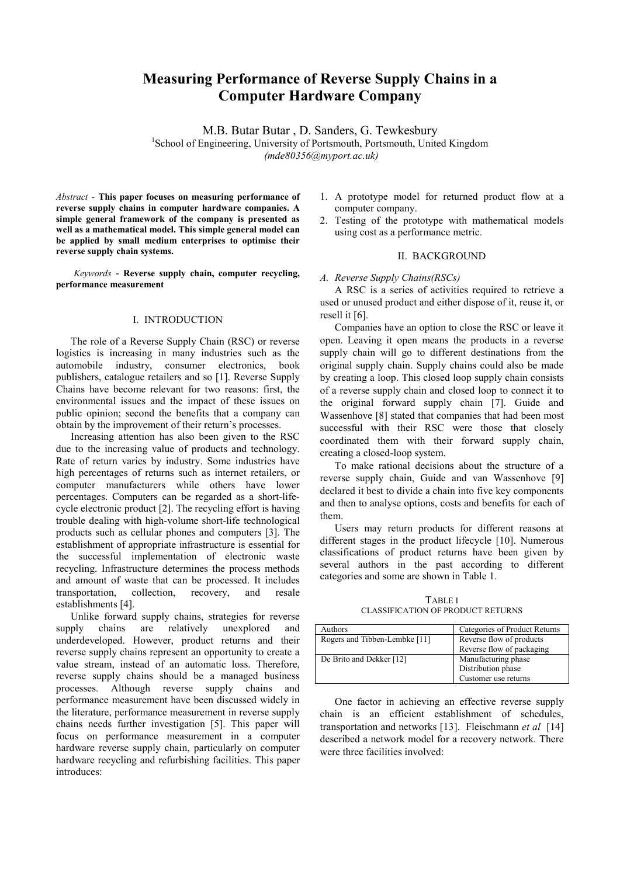# **Measuring Performance of Reverse Supply Chains in a Computer Hardware Company**

M.B. Butar Butar , D. Sanders, G. Tewkesbury <sup>1</sup>

<sup>1</sup>School of Engineering, University of Portsmouth, Portsmouth, United Kingdom  *(mde80356@myport.ac.uk)* 

*Abstract* - **This paper focuses on measuring performance of reverse supply chains in computer hardware companies. A simple general framework of the company is presented as well as a mathematical model. This simple general model can be applied by small medium enterprises to optimise their reverse supply chain systems.**

*Keywords* - **Reverse supply chain, computer recycling, performance measurement**

# I. INTRODUCTION

 The role of a Reverse Supply Chain (RSC) or reverse logistics is increasing in many industries such as the automobile industry, consumer electronics, book publishers, catalogue retailers and so [1]. Reverse Supply Chains have become relevant for two reasons: first, the environmental issues and the impact of these issues on public opinion; second the benefits that a company can obtain by the improvement of their return's processes.

Increasing attention has also been given to the RSC due to the increasing value of products and technology. Rate of return varies by industry. Some industries have high percentages of returns such as internet retailers, or computer manufacturers while others have lower percentages. Computers can be regarded as a short-lifecycle electronic product [2]. The recycling effort is having trouble dealing with high-volume short-life technological products such as cellular phones and computers [3]. The establishment of appropriate infrastructure is essential for the successful implementation of electronic waste recycling. Infrastructure determines the process methods and amount of waste that can be processed. It includes transportation, collection, recovery, and resale establishments [4].

Unlike forward supply chains, strategies for reverse supply chains are relatively unexplored and underdeveloped. However, product returns and their reverse supply chains represent an opportunity to create a value stream, instead of an automatic loss. Therefore, reverse supply chains should be a managed business processes. Although reverse supply chains and performance measurement have been discussed widely in the literature, performance measurement in reverse supply chains needs further investigation [5]. This paper will focus on performance measurement in a computer hardware reverse supply chain, particularly on computer hardware recycling and refurbishing facilities. This paper introduces:

- 1. A prototype model for returned product flow at a computer company.
- 2. Testing of the prototype with mathematical models using cost as a performance metric.

# II. BACKGROUND

## *A. Reverse Supply Chains(RSCs)*

A RSC is a series of activities required to retrieve a used or unused product and either dispose of it, reuse it, or resell it [6].

Companies have an option to close the RSC or leave it open. Leaving it open means the products in a reverse supply chain will go to different destinations from the original supply chain. Supply chains could also be made by creating a loop. This closed loop supply chain consists of a reverse supply chain and closed loop to connect it to the original forward supply chain [7]. Guide and Wassenhove [8] stated that companies that had been most successful with their RSC were those that closely coordinated them with their forward supply chain, creating a closed-loop system.

To make rational decisions about the structure of a reverse supply chain, Guide and van Wassenhove [9] declared it best to divide a chain into five key components and then to analyse options, costs and benefits for each of them.

Users may return products for different reasons at different stages in the product lifecycle [10]. Numerous classifications of product returns have been given by several authors in the past according to different categories and some are shown in Table 1.

TABLE I CLASSIFICATION OF PRODUCT RETURNS

| Authors                       | Categories of Product Returns |
|-------------------------------|-------------------------------|
| Rogers and Tibben-Lembke [11] | Reverse flow of products      |
|                               | Reverse flow of packaging     |
| De Brito and Dekker [12]      | Manufacturing phase           |
|                               | Distribution phase            |
|                               | Customer use returns          |

One factor in achieving an effective reverse supply chain is an efficient establishment of schedules, transportation and networks [13]. Fleischmann *et al* [14] described a network model for a recovery network. There were three facilities involved: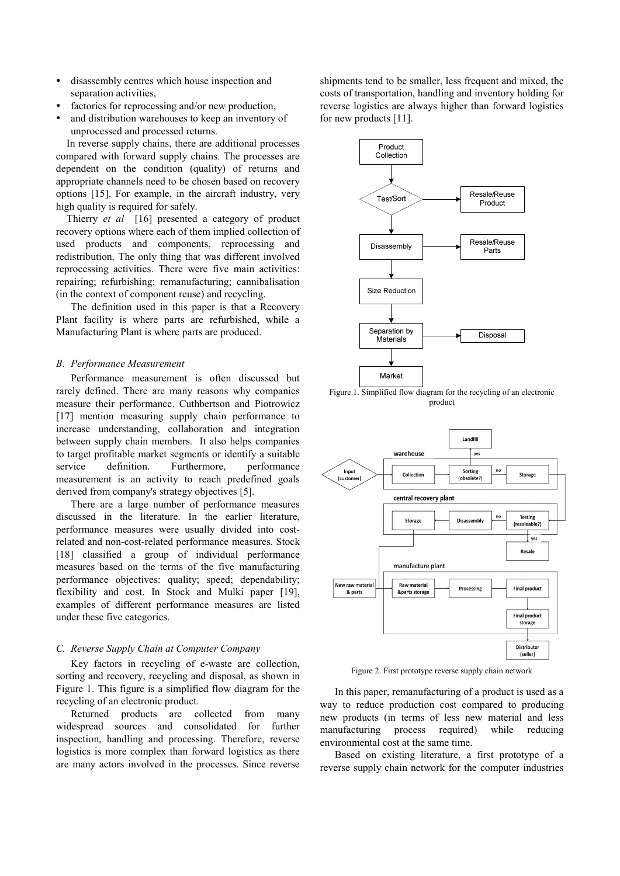- disassembly centres which house inspection and separation activities,
- factories for reprocessing and/or new production,
- and distribution warehouses to keep an inventory of unprocessed and processed returns.

In reverse supply chains, there are additional processes compared with forward supply chains. The processes are dependent on the condition (quality) of returns and appropriate channels need to be chosen based on recovery options [15]. For example, in the aircraft industry, very high quality is required for safely.

Thierry *et al* [16] presented a category of product recovery options where each of them implied collection of used products and components, reprocessing and redistribution. The only thing that was different involved reprocessing activities. There were five main activities: repairing; refurbishing; remanufacturing; cannibalisation (in the context of component reuse) and recycling.

The definition used in this paper is that a Recovery Plant facility is where parts are refurbished, while a Manufacturing Plant is where parts are produced.

# *B. Performance Measurement*

Performance measurement is often discussed but rarely defined. There are many reasons why companies measure their performance. Cuthbertson and Piotrowicz [17] mention measuring supply chain performance to increase understanding, collaboration and integration between supply chain members. It also helps companies to target profitable market segments or identify a suitable service definition. Furthermore, performance measurement is an activity to reach predefined goals derived from company's strategy objectives [5].

There are a large number of performance measures discussed in the literature. In the earlier literature, performance measures were usually divided into costrelated and non-cost-related performance measures. Stock [18] classified a group of individual performance measures based on the terms of the five manufacturing performance objectives: quality; speed; dependability; flexibility and cost. In Stock and Mulki paper [19], examples of different performance measures are listed under these five categories.

#### *C. Reverse Supply Chain at Computer Company*

Key factors in recycling of e-waste are collection, sorting and recovery, recycling and disposal, as shown in Figure 1. This figure is a simplified flow diagram for the recycling of an electronic product.

Returned products are collected from many widespread sources and consolidated for further inspection, handling and processing. Therefore, reverse logistics is more complex than forward logistics as there are many actors involved in the processes. Since reverse

shipments tend to be smaller, less frequent and mixed, the costs of transportation, handling and inventory holding for reverse logistics are always higher than forward logistics for new products [11].



Figure 1. Simplified flow diagram for the recycling of an electronic product



Figure 2. First prototype reverse supply chain network

In this paper, remanufacturing of a product is used as a way to reduce production cost compared to producing new products (in terms of less new material and less manufacturing process required) while reducing environmental cost at the same time.

Based on existing literature, a first prototype of a reverse supply chain network for the computer industries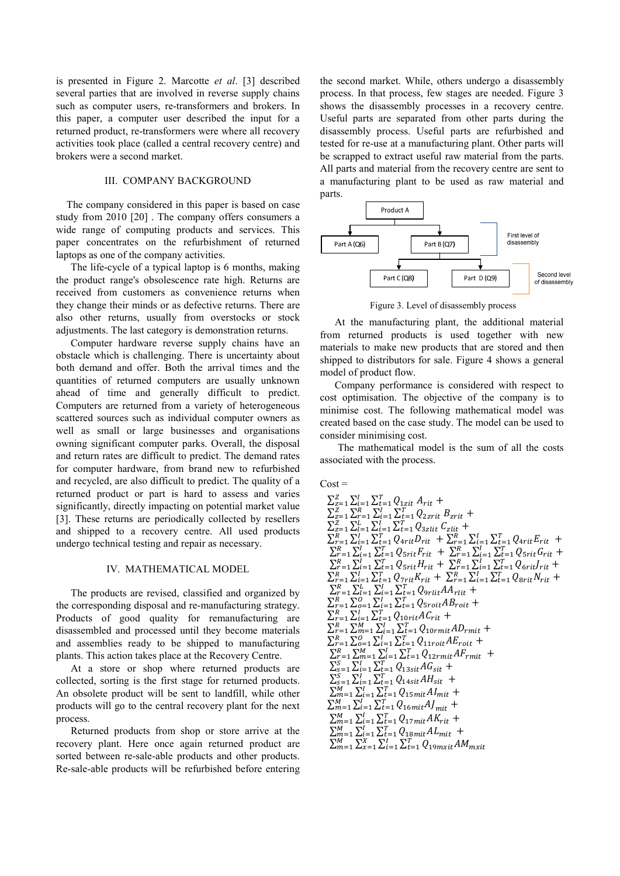is presented in Figure 2. Marcotte *et al*. [3] described several parties that are involved in reverse supply chains such as computer users, re-transformers and brokers. In this paper, a computer user described the input for a returned product, re-transformers were where all recovery activities took place (called a central recovery centre) and brokers were a second market.

#### III. COMPANY BACKGROUND

The company considered in this paper is based on case study from 2010 [20] . The company offers consumers a wide range of computing products and services. This paper concentrates on the refurbishment of returned laptops as one of the company activities.

The life-cycle of a typical laptop is 6 months, making the product range's obsolescence rate high. Returns are received from customers as convenience returns when they change their minds or as defective returns. There are also other returns, usually from overstocks or stock adjustments. The last category is demonstration returns.

Computer hardware reverse supply chains have an obstacle which is challenging. There is uncertainty about both demand and offer. Both the arrival times and the quantities of returned computers are usually unknown ahead of time and generally difficult to predict. Computers are returned from a variety of heterogeneous scattered sources such as individual computer owners as well as small or large businesses and organisations owning significant computer parks. Overall, the disposal and return rates are difficult to predict. The demand rates for computer hardware, from brand new to refurbished and recycled, are also difficult to predict. The quality of a returned product or part is hard to assess and varies significantly, directly impacting on potential market value [3]. These returns are periodically collected by resellers and shipped to a recovery centre. All used products undergo technical testing and repair as necessary.

#### IV. MATHEMATICAL MODEL

The products are revised, classified and organized by the corresponding disposal and re-manufacturing strategy. Products of good quality for remanufacturing are disassembled and processed until they become materials and assemblies ready to be shipped to manufacturing plants. This action takes place at the Recovery Centre.

At a store or shop where returned products are collected, sorting is the first stage for returned products. An obsolete product will be sent to landfill, while other products will go to the central recovery plant for the next process.

Returned products from shop or store arrive at the recovery plant. Here once again returned product are sorted between re-sale-able products and other products. Re-sale-able products will be refurbished before entering

the second market. While, others undergo a disassembly process. In that process, few stages are needed. Figure 3 shows the disassembly processes in a recovery centre. Useful parts are separated from other parts during the disassembly process. Useful parts are refurbished and tested for re-use at a manufacturing plant. Other parts will be scrapped to extract useful raw material from the parts. All parts and material from the recovery centre are sent to a manufacturing plant to be used as raw material and parts.



Figure 3. Level of disassembly process

At the manufacturing plant, the additional material from returned products is used together with new materials to make new products that are stored and then shipped to distributors for sale. Figure 4 shows a general model of product flow.

Company performance is considered with respect to cost optimisation. The objective of the company is to minimise cost. The following mathematical model was created based on the case study. The model can be used to consider minimising cost.

The mathematical model is the sum of all the costs associated with the process.

 $Cost =$ 

 $\sum_{z=1}^{Z} \sum_{i=1}^{I} \sum_{t=1}^{T} Q_{1zit} A_{rit} +$  $\sum_{z=1}^{Z} \sum_{r=1}^{R} \sum_{i=1}^{I} \sum_{t=1}^{T} Q_{2zrit} B_{zrit} +$  $\sum_{z=1}^{Z} \sum_{l=1}^{L} \sum_{i=1}^{I} \sum_{t=1}^{T} Q_{3zlit} C_{zlit} +$  $\sum_{r=1}^{R} \sum_{i=1}^{I} \sum_{t=1}^{T} Q_{4rit} D_{rit} + \sum_{r=1}^{R} \sum_{i=1}^{I} \sum_{t=1}^{T} Q_{4rit} E_{rit}$  +  $\sum_{t=1}^{R} \sum_{i=1}^{I} \sum_{t=1}^{T} Q_{5rit} F_{rit} + \sum_{r=1}^{R} \sum_{i=1}^{I} \sum_{t=1}^{T} Q_{5rit} G_{rit} +$  $\sum_{t=1}^{R} \sum_{i=1}^{I} \sum_{t=1}^{T} Q_{\text{srit}} H_{\text{rit}} + \sum_{r=1}^{R} \sum_{i=1}^{I} \sum_{t=1}^{T} Q_{\text{srit}} f_{\text{rit}} +$  $\sum_{r=1}^{R} \sum_{i=1}^{I} \sum_{t=1}^{T} Q_{\tau r i t} K_{r i t} + \sum_{r=1}^{R} \sum_{i=1}^{I} \sum_{t=1}^{T} Q_{\tau r i t} N_{r i t} +$  $\sum_{r=1}^{R} \sum_{l=1}^{L} \sum_{i=1}^{I} \sum_{t=1}^{T} Q_{\vartheta r l i t} A A_{\vartheta r l i t} +$  $\sum_{r=1}^{R} \sum_{o=1}^{Q} \sum_{i=1}^{I} \sum_{t=1}^{T} Q_{5\text{roit}} AB_{\text{roit}} +$  $\sum_{r=1}^{R} \sum_{i=1}^{I} \sum_{t=1}^{T} Q_{10rit}AC_{rit} +$  $\sum_{r=1}^{R} \sum_{m=1}^{M} \sum_{i=1}^{I} \sum_{t=1}^{T} Q_{10rmit}AD_{rmit} +$  $\sum_{r=1}^{R} \sum_{o=1}^{O} \sum_{i=1}^{I} \sum_{t=1}^{T} Q_{11roit} AE_{roit} +$  $\sum_{r=1}^{R} \sum_{m=1}^{M} \sum_{i=1}^{I} \sum_{t=1}^{T} Q_{12rmit}AF_{rmit}$  +  $\sum_{s=1}^{S} \sum_{i=1}^{I} \sum_{t=1}^{T} Q_{13sit}AG_{sit} +$  $\sum_{s=1}^{S} \sum_{i=1}^{I} \sum_{t=1}^{T} Q_{14sit} AH_{sit}$  +  $\sum_{m=1}^{M} \sum_{i=1}^{I} \sum_{t=1}^{T} Q_{15mit} A I_{mit} +$  $\sum_{m=1}^{M} \sum_{i=1}^{I} \sum_{t=1}^{T} Q_{16mit} A J_{mit} +$  $\sum_{m=1}^{M} \sum_{i=1}^{I} \sum_{t=1}^{T} Q_{17mit} AK_{rit} +$  $\sum_{m=1}^{M} \sum_{i=1}^{I} \sum_{t=1}^{T} Q_{18mit}AL_{mit}$  +  $\sum_{m=1}^{M} \sum_{x=1}^{X} \sum_{i=1}^{I} \sum_{t=1}^{T} Q_{19mxit} A M_{mxit}$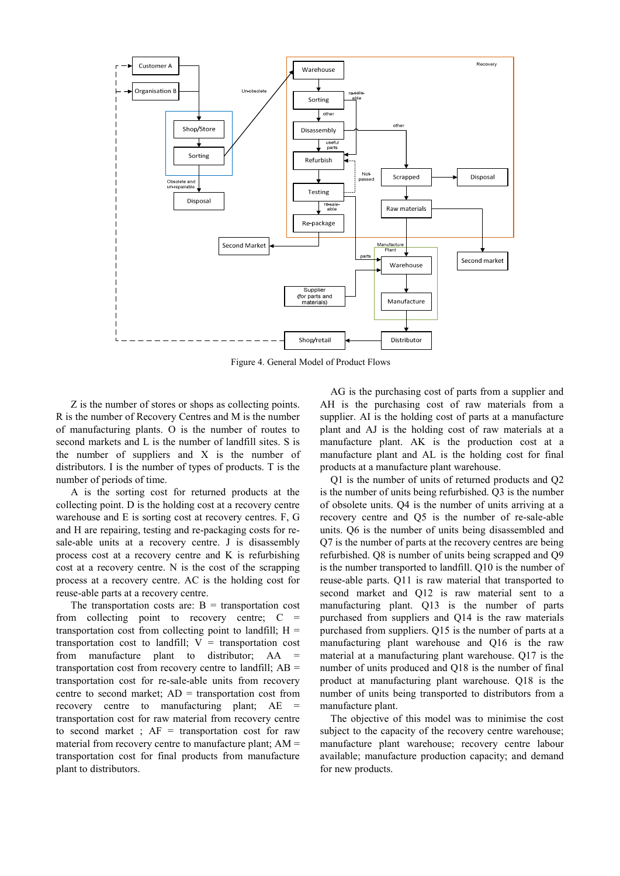

Figure 4. General Model of Product Flows

Z is the number of stores or shops as collecting points. R is the number of Recovery Centres and M is the number of manufacturing plants. O is the number of routes to second markets and L is the number of landfill sites. S is the number of suppliers and X is the number of distributors. I is the number of types of products. T is the number of periods of time.

A is the sorting cost for returned products at the collecting point. D is the holding cost at a recovery centre warehouse and E is sorting cost at recovery centres. F, G and H are repairing, testing and re-packaging costs for resale-able units at a recovery centre. J is disassembly process cost at a recovery centre and K is refurbishing cost at a recovery centre. N is the cost of the scrapping process at a recovery centre. AC is the holding cost for reuse-able parts at a recovery centre.

The transportation costs are:  $B =$  transportation cost from collecting point to recovery centre; C = transportation cost from collecting point to landfill;  $H =$ transportation cost to landfill;  $V =$  transportation cost from manufacture plant to distributor; AA transportation cost from recovery centre to landfill;  $AB =$ transportation cost for re-sale-able units from recovery centre to second market;  $AD =$  transportation cost from recovery centre to manufacturing plant; AE = transportation cost for raw material from recovery centre to second market ;  $AF =$  transportation cost for raw material from recovery centre to manufacture plant; AM = transportation cost for final products from manufacture plant to distributors.

AG is the purchasing cost of parts from a supplier and AH is the purchasing cost of raw materials from a supplier. AI is the holding cost of parts at a manufacture plant and AJ is the holding cost of raw materials at a manufacture plant. AK is the production cost at a manufacture plant and AL is the holding cost for final products at a manufacture plant warehouse.

Q1 is the number of units of returned products and Q2 is the number of units being refurbished. Q3 is the number of obsolete units. Q4 is the number of units arriving at a recovery centre and Q5 is the number of re-sale-able units. Q6 is the number of units being disassembled and Q7 is the number of parts at the recovery centres are being refurbished. Q8 is number of units being scrapped and Q9 is the number transported to landfill. Q10 is the number of reuse-able parts. Q11 is raw material that transported to second market and Q12 is raw material sent to a manufacturing plant. Q13 is the number of parts purchased from suppliers and Q14 is the raw materials purchased from suppliers. Q15 is the number of parts at a manufacturing plant warehouse and Q16 is the raw material at a manufacturing plant warehouse. Q17 is the number of units produced and Q18 is the number of final product at manufacturing plant warehouse. Q18 is the number of units being transported to distributors from a manufacture plant.

The objective of this model was to minimise the cost subject to the capacity of the recovery centre warehouse; manufacture plant warehouse; recovery centre labour available; manufacture production capacity; and demand for new products.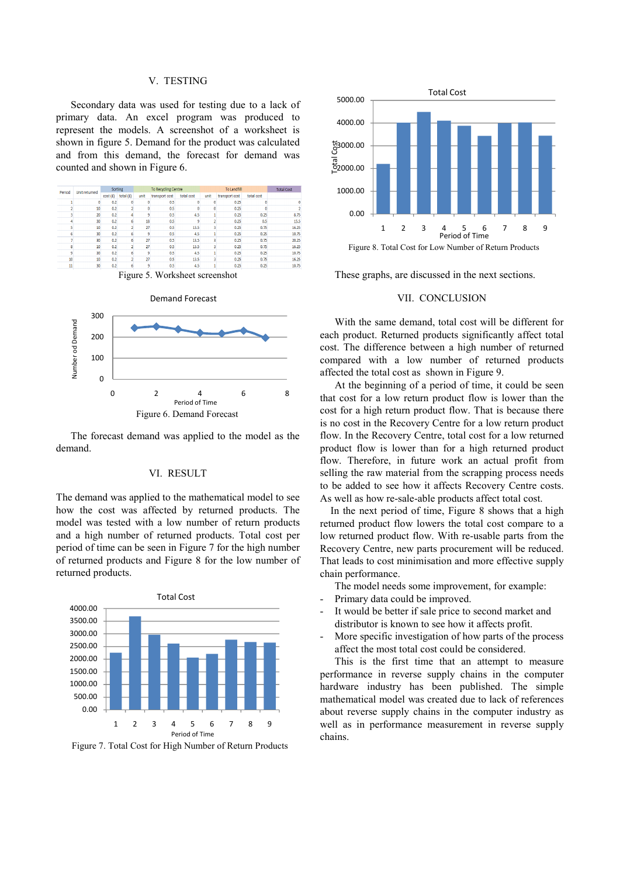#### V. TESTING

Secondary data was used for testing due to a lack of primary data. An excel program was produced to represent the models. A screenshot of a worksheet is shown in figure 5. Demand for the product was calculated and from this demand, the forecast for demand was counted and shown in Figure 6.

| Period | <b>Unit returned</b> | Sorting |           | <b>To Recycling Centre</b> |                | To Landfill |      |                | <b>Total Cost</b> |       |
|--------|----------------------|---------|-----------|----------------------------|----------------|-------------|------|----------------|-------------------|-------|
|        |                      | cost(E) | total (£) | unit                       | transport cost | total cost  | unit | transport cost | total cost        |       |
|        | ٥                    | 0.2     |           |                            | 0.5            |             |      | 0.25           |                   |       |
|        | 10                   | 0.2     |           |                            | 0.5            | ٥           |      | 0.25           |                   |       |
|        | 20                   | 0.2     |           |                            | 0.5            | 4.5         |      | 0.25           | 0.25              | 8.75  |
|        | 30                   | 0.2     |           | 18                         | 0.5            | ٩           |      | 0.25           | 0.5               | 15.5  |
|        | 10                   | 0.2     |           | 27                         | 0.5            | 13.5        |      | 0.25           | 0.75              | 16.25 |
|        | 30                   | 0.2     |           | ۰                          | 0.5            | 4.5         |      | 0.25           | 0.25              | 10.75 |
|        | 30                   | 0.2     | 6         | 27                         | 0.5            | 13.5        |      | 0.25           | 0.75              | 20.25 |
|        | 10                   | 0.2     |           | 27                         | 0.5            | 13.5        |      | 0.25           | 0.75              | 16.25 |
| ٩      | 30                   | 0.2     |           | ۰                          | 0.5            | 4.5         |      | 0.25           | 0.25              | 10.75 |
| 10     | 10                   | 0.2     |           | 27                         | 0.5            | 13.5        |      | 0.25           | 0.75              | 16.25 |
| 11     | 30                   | 0.2     |           | ۰                          | 0.5            | 4.5         |      | 0.25           | 0.25              | 10.75 |





The forecast demand was applied to the model as the demand.

# VI. RESULT

The demand was applied to the mathematical model to see how the cost was affected by returned products. The model was tested with a low number of return products and a high number of returned products. Total cost per period of time can be seen in Figure 7 for the high number of returned products and Figure 8 for the low number of returned products.



Figure 7. Total Cost for High Number of Return Products



Figure 8. Total Cost for Low Number of Return Products

These graphs, are discussed in the next sections.

#### VII. CONCLUSION

With the same demand, total cost will be different for each product. Returned products significantly affect total cost. The difference between a high number of returned compared with a low number of returned products affected the total cost as shown in Figure 9.

At the beginning of a period of time, it could be seen that cost for a low return product flow is lower than the cost for a high return product flow. That is because there is no cost in the Recovery Centre for a low return product flow. In the Recovery Centre, total cost for a low returned product flow is lower than for a high returned product flow. Therefore, in future work an actual profit from selling the raw material from the scrapping process needs to be added to see how it affects Recovery Centre costs. As well as how re-sale-able products affect total cost.

In the next period of time, Figure 8 shows that a high returned product flow lowers the total cost compare to a low returned product flow. With re-usable parts from the Recovery Centre, new parts procurement will be reduced. That leads to cost minimisation and more effective supply chain performance.

The model needs some improvement, for example:

- Primary data could be improved.
- It would be better if sale price to second market and distributor is known to see how it affects profit.
- More specific investigation of how parts of the process affect the most total cost could be considered.

This is the first time that an attempt to measure performance in reverse supply chains in the computer hardware industry has been published. The simple mathematical model was created due to lack of references about reverse supply chains in the computer industry as well as in performance measurement in reverse supply chains.